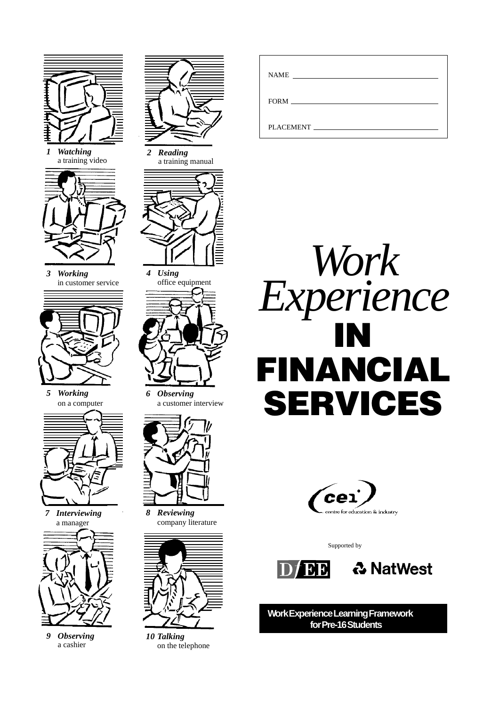

*1 Watching* a training video



*3 Working* in customer service



*5 Working* on a computer



*7 Interviewing* a manager



*9 Observing* a cashier



*2 Reading* a training manual



*4 Using* office equipment



*6 Observing* a customer interview



*8 Reviewing* company literature



*10 Talking* on the telephone

| <b>NAME</b><br><u> 1989 - Andrea Andrew Maria (h. 1989).</u> |
|--------------------------------------------------------------|
| $FORM$ $\qquad$                                              |
| <b>PLACEMENT</b>                                             |





Supported by





**Work Experience Learning Framework for Pre-16 Students**